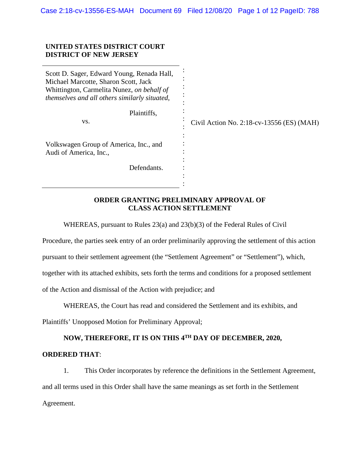## **UNITED STATES DISTRICT COURT DISTRICT OF NEW JERSEY**

| Scott D. Sager, Edward Young, Renada Hall,<br>Michael Marcotte, Sharon Scott, Jack<br>Whittington, Carmelita Nunez, on behalf of<br>themselves and all others similarly situated, |                                             |
|-----------------------------------------------------------------------------------------------------------------------------------------------------------------------------------|---------------------------------------------|
| Plaintiffs,<br>VS.                                                                                                                                                                | Civil Action No. 2:18-cv-13556 $(ES) (MAH)$ |
| Volkswagen Group of America, Inc., and<br>Audi of America, Inc.,                                                                                                                  |                                             |
| Defendants.                                                                                                                                                                       |                                             |

## **ORDER GRANTING PRELIMINARY APPROVAL OF CLASS ACTION SETTLEMENT**

WHEREAS, pursuant to Rules 23(a) and 23(b)(3) of the Federal Rules of Civil

Procedure, the parties seek entry of an order preliminarily approving the settlement of this action

pursuant to their settlement agreement (the "Settlement Agreement" or "Settlement"), which,

together with its attached exhibits, sets forth the terms and conditions for a proposed settlement

of the Action and dismissal of the Action with prejudice; and

WHEREAS, the Court has read and considered the Settlement and its exhibits, and

Plaintiffs' Unopposed Motion for Preliminary Approval;

# **NOW, THEREFORE, IT IS ON THIS 4TH DAY OF DECEMBER, 2020,**

### **ORDERED THAT**:

1. This Order incorporates by reference the definitions in the Settlement Agreement, and all terms used in this Order shall have the same meanings as set forth in the Settlement Agreement.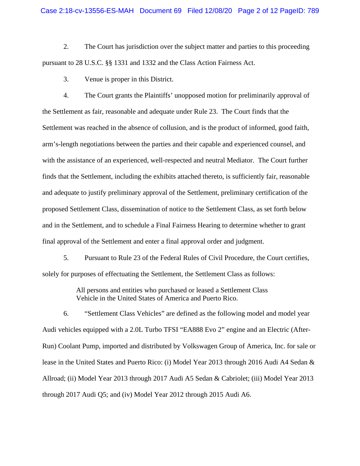2. The Court has jurisdiction over the subject matter and parties to this proceeding pursuant to 28 U.S.C. §§ 1331 and 1332 and the Class Action Fairness Act.

3. Venue is proper in this District.

4. The Court grants the Plaintiffs' unopposed motion for preliminarily approval of the Settlement as fair, reasonable and adequate under Rule 23. The Court finds that the Settlement was reached in the absence of collusion, and is the product of informed, good faith, arm's-length negotiations between the parties and their capable and experienced counsel, and with the assistance of an experienced, well-respected and neutral Mediator. The Court further finds that the Settlement, including the exhibits attached thereto, is sufficiently fair, reasonable and adequate to justify preliminary approval of the Settlement, preliminary certification of the proposed Settlement Class, dissemination of notice to the Settlement Class, as set forth below and in the Settlement, and to schedule a Final Fairness Hearing to determine whether to grant final approval of the Settlement and enter a final approval order and judgment.

5. Pursuant to Rule 23 of the Federal Rules of Civil Procedure, the Court certifies, solely for purposes of effectuating the Settlement, the Settlement Class as follows:

> All persons and entities who purchased or leased a Settlement Class Vehicle in the United States of America and Puerto Rico.

6. "Settlement Class Vehicles" are defined as the following model and model year Audi vehicles equipped with a 2.0L Turbo TFSI "EA888 Evo 2" engine and an Electric (After-Run) Coolant Pump, imported and distributed by Volkswagen Group of America, Inc. for sale or lease in the United States and Puerto Rico: (i) Model Year 2013 through 2016 Audi A4 Sedan & Allroad; (ii) Model Year 2013 through 2017 Audi A5 Sedan & Cabriolet; (iii) Model Year 2013 through 2017 Audi Q5; and (iv) Model Year 2012 through 2015 Audi A6.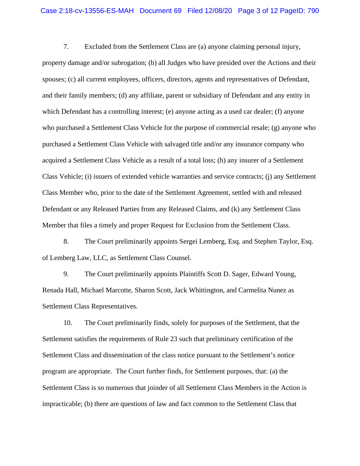7. Excluded from the Settlement Class are (a) anyone claiming personal injury, property damage and/or subrogation; (b) all Judges who have presided over the Actions and their spouses; (c) all current employees, officers, directors, agents and representatives of Defendant, and their family members; (d) any affiliate, parent or subsidiary of Defendant and any entity in which Defendant has a controlling interest; (e) anyone acting as a used car dealer; (f) anyone who purchased a Settlement Class Vehicle for the purpose of commercial resale; (g) anyone who purchased a Settlement Class Vehicle with salvaged title and/or any insurance company who acquired a Settlement Class Vehicle as a result of a total loss; (h) any insurer of a Settlement Class Vehicle; (i) issuers of extended vehicle warranties and service contracts; (j) any Settlement Class Member who, prior to the date of the Settlement Agreement, settled with and released Defendant or any Released Parties from any Released Claims, and (k) any Settlement Class Member that files a timely and proper Request for Exclusion from the Settlement Class.

8. The Court preliminarily appoints Sergei Lemberg, Esq. and Stephen Taylor, Esq. of Lemberg Law, LLC, as Settlement Class Counsel.

9. The Court preliminarily appoints Plaintiffs Scott D. Sager, Edward Young, Renada Hall, Michael Marcotte, Sharon Scott, Jack Whittington, and Carmelita Nunez as Settlement Class Representatives.

10. The Court preliminarily finds, solely for purposes of the Settlement, that the Settlement satisfies the requirements of Rule 23 such that preliminary certification of the Settlement Class and dissemination of the class notice pursuant to the Settlement's notice program are appropriate. The Court further finds, for Settlement purposes, that: (a) the Settlement Class is so numerous that joinder of all Settlement Class Members in the Action is impracticable; (b) there are questions of law and fact common to the Settlement Class that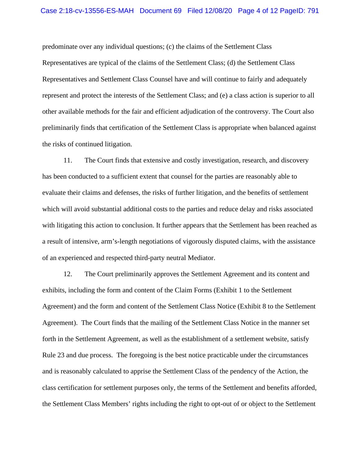predominate over any individual questions; (c) the claims of the Settlement Class Representatives are typical of the claims of the Settlement Class; (d) the Settlement Class Representatives and Settlement Class Counsel have and will continue to fairly and adequately represent and protect the interests of the Settlement Class; and (e) a class action is superior to all other available methods for the fair and efficient adjudication of the controversy. The Court also preliminarily finds that certification of the Settlement Class is appropriate when balanced against the risks of continued litigation.

11. The Court finds that extensive and costly investigation, research, and discovery has been conducted to a sufficient extent that counsel for the parties are reasonably able to evaluate their claims and defenses, the risks of further litigation, and the benefits of settlement which will avoid substantial additional costs to the parties and reduce delay and risks associated with litigating this action to conclusion. It further appears that the Settlement has been reached as a result of intensive, arm's-length negotiations of vigorously disputed claims, with the assistance of an experienced and respected third-party neutral Mediator.

12. The Court preliminarily approves the Settlement Agreement and its content and exhibits, including the form and content of the Claim Forms (Exhibit 1 to the Settlement Agreement) and the form and content of the Settlement Class Notice (Exhibit 8 to the Settlement Agreement). The Court finds that the mailing of the Settlement Class Notice in the manner set forth in the Settlement Agreement, as well as the establishment of a settlement website, satisfy Rule 23 and due process. The foregoing is the best notice practicable under the circumstances and is reasonably calculated to apprise the Settlement Class of the pendency of the Action, the class certification for settlement purposes only, the terms of the Settlement and benefits afforded, the Settlement Class Members' rights including the right to opt-out of or object to the Settlement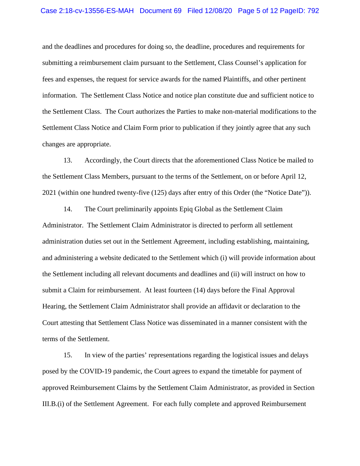#### Case 2:18-cv-13556-ES-MAH Document 69 Filed 12/08/20 Page 5 of 12 PageID: 792

and the deadlines and procedures for doing so, the deadline, procedures and requirements for submitting a reimbursement claim pursuant to the Settlement, Class Counsel's application for fees and expenses, the request for service awards for the named Plaintiffs, and other pertinent information. The Settlement Class Notice and notice plan constitute due and sufficient notice to the Settlement Class. The Court authorizes the Parties to make non-material modifications to the Settlement Class Notice and Claim Form prior to publication if they jointly agree that any such changes are appropriate.

13. Accordingly, the Court directs that the aforementioned Class Notice be mailed to the Settlement Class Members, pursuant to the terms of the Settlement, on or before April 12, 2021 (within one hundred twenty-five (125) days after entry of this Order (the "Notice Date")).

14. The Court preliminarily appoints Epiq Global as the Settlement Claim Administrator. The Settlement Claim Administrator is directed to perform all settlement administration duties set out in the Settlement Agreement, including establishing, maintaining, and administering a website dedicated to the Settlement which (i) will provide information about the Settlement including all relevant documents and deadlines and (ii) will instruct on how to submit a Claim for reimbursement. At least fourteen (14) days before the Final Approval Hearing, the Settlement Claim Administrator shall provide an affidavit or declaration to the Court attesting that Settlement Class Notice was disseminated in a manner consistent with the terms of the Settlement.

15. In view of the parties' representations regarding the logistical issues and delays posed by the COVID-19 pandemic, the Court agrees to expand the timetable for payment of approved Reimbursement Claims by the Settlement Claim Administrator, as provided in Section III.B.(i) of the Settlement Agreement. For each fully complete and approved Reimbursement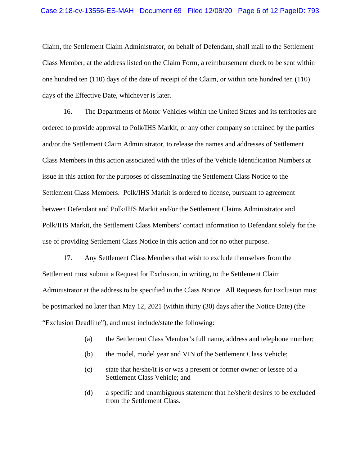#### Case 2:18-cv-13556-ES-MAH Document 69 Filed 12/08/20 Page 6 of 12 PageID: 793

Claim, the Settlement Claim Administrator, on behalf of Defendant, shall mail to the Settlement Class Member, at the address listed on the Claim Form, a reimbursement check to be sent within one hundred ten (110) days of the date of receipt of the Claim, or within one hundred ten (110) days of the Effective Date, whichever is later.

16. The Departments of Motor Vehicles within the United States and its territories are ordered to provide approval to Polk/IHS Markit, or any other company so retained by the parties and/or the Settlement Claim Administrator, to release the names and addresses of Settlement Class Members in this action associated with the titles of the Vehicle Identification Numbers at issue in this action for the purposes of disseminating the Settlement Class Notice to the Settlement Class Members. Polk/IHS Markit is ordered to license, pursuant to agreement between Defendant and Polk/IHS Markit and/or the Settlement Claims Administrator and Polk/IHS Markit, the Settlement Class Members' contact information to Defendant solely for the use of providing Settlement Class Notice in this action and for no other purpose.

17. Any Settlement Class Members that wish to exclude themselves from the Settlement must submit a Request for Exclusion, in writing, to the Settlement Claim Administrator at the address to be specified in the Class Notice. All Requests for Exclusion must be postmarked no later than May 12, 2021 (within thirty (30) days after the Notice Date) (the "Exclusion Deadline"), and must include/state the following:

- (a) the Settlement Class Member's full name, address and telephone number;
- (b) the model, model year and VIN of the Settlement Class Vehicle;
- (c) state that he/she/it is or was a present or former owner or lessee of a Settlement Class Vehicle; and
- (d) a specific and unambiguous statement that he/she/it desires to be excluded from the Settlement Class.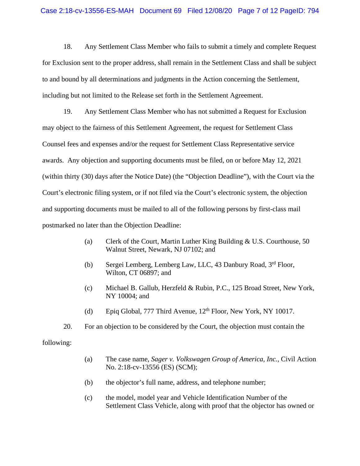18. Any Settlement Class Member who fails to submit a timely and complete Request for Exclusion sent to the proper address, shall remain in the Settlement Class and shall be subject to and bound by all determinations and judgments in the Action concerning the Settlement, including but not limited to the Release set forth in the Settlement Agreement.

19. Any Settlement Class Member who has not submitted a Request for Exclusion may object to the fairness of this Settlement Agreement, the request for Settlement Class Counsel fees and expenses and/or the request for Settlement Class Representative service awards. Any objection and supporting documents must be filed, on or before May 12, 2021 (within thirty (30) days after the Notice Date) (the "Objection Deadline"), with the Court via the Court's electronic filing system, or if not filed via the Court's electronic system, the objection and supporting documents must be mailed to all of the following persons by first-class mail postmarked no later than the Objection Deadline:

- (a) Clerk of the Court, Martin Luther King Building & U.S. Courthouse, 50 Walnut Street, Newark, NJ 07102; and
- (b) Sergei Lemberg, Lemberg Law, LLC, 43 Danbury Road, 3rd Floor, Wilton, CT 06897; and
- (c) Michael B. Gallub, Herzfeld & Rubin, P.C., 125 Broad Street, New York, NY 10004; and
- (d) Epiq Global, 777 Third Avenue,  $12<sup>th</sup>$  Floor, New York, NY 10017.
- 20. For an objection to be considered by the Court, the objection must contain the

following:

- (a) The case name, *Sager v. Volkswagen Group of America, Inc.*, Civil Action No. 2:18-cv-13556 (ES) (SCM);
- (b) the objector's full name, address, and telephone number;
- (c) the model, model year and Vehicle Identification Number of the Settlement Class Vehicle, along with proof that the objector has owned or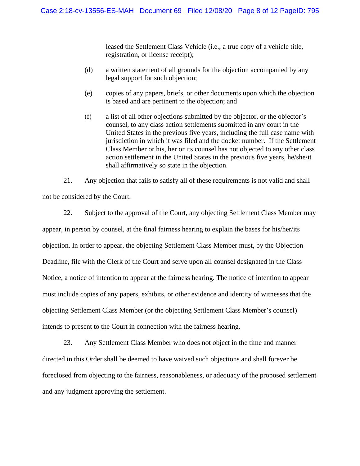leased the Settlement Class Vehicle (i.e., a true copy of a vehicle title, registration, or license receipt);

- (d) a written statement of all grounds for the objection accompanied by any legal support for such objection;
- (e) copies of any papers, briefs, or other documents upon which the objection is based and are pertinent to the objection; and
- (f) a list of all other objections submitted by the objector, or the objector's counsel, to any class action settlements submitted in any court in the United States in the previous five years, including the full case name with jurisdiction in which it was filed and the docket number. If the Settlement Class Member or his, her or its counsel has not objected to any other class action settlement in the United States in the previous five years, he/she/it shall affirmatively so state in the objection.

21. Any objection that fails to satisfy all of these requirements is not valid and shall not be considered by the Court.

22. Subject to the approval of the Court, any objecting Settlement Class Member may appear, in person by counsel, at the final fairness hearing to explain the bases for his/her/its objection. In order to appear, the objecting Settlement Class Member must, by the Objection Deadline, file with the Clerk of the Court and serve upon all counsel designated in the Class Notice, a notice of intention to appear at the fairness hearing. The notice of intention to appear must include copies of any papers, exhibits, or other evidence and identity of witnesses that the objecting Settlement Class Member (or the objecting Settlement Class Member's counsel) intends to present to the Court in connection with the fairness hearing.

23. Any Settlement Class Member who does not object in the time and manner directed in this Order shall be deemed to have waived such objections and shall forever be foreclosed from objecting to the fairness, reasonableness, or adequacy of the proposed settlement and any judgment approving the settlement.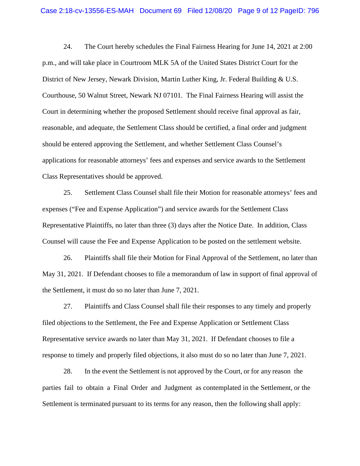24. The Court hereby schedules the Final Fairness Hearing for June 14, 2021 at 2:00 p.m., and will take place in Courtroom MLK 5A of the United States District Court for the District of New Jersey, Newark Division, Martin Luther King, Jr. Federal Building & U.S. Courthouse, 50 Walnut Street, Newark NJ 07101. The Final Fairness Hearing will assist the Court in determining whether the proposed Settlement should receive final approval as fair, reasonable, and adequate, the Settlement Class should be certified, a final order and judgment should be entered approving the Settlement, and whether Settlement Class Counsel's applications for reasonable attorneys' fees and expenses and service awards to the Settlement Class Representatives should be approved.

25. Settlement Class Counsel shall file their Motion for reasonable attorneys' fees and expenses ("Fee and Expense Application") and service awards for the Settlement Class Representative Plaintiffs, no later than three (3) days after the Notice Date. In addition, Class Counsel will cause the Fee and Expense Application to be posted on the settlement website.

26. Plaintiffs shall file their Motion for Final Approval of the Settlement, no later than May 31, 2021. If Defendant chooses to file a memorandum of law in support of final approval of the Settlement, it must do so no later than June 7, 2021.

27. Plaintiffs and Class Counsel shall file their responses to any timely and properly filed objections to the Settlement, the Fee and Expense Application or Settlement Class Representative service awards no later than May 31, 2021. If Defendant chooses to file a response to timely and properly filed objections, it also must do so no later than June 7, 2021.

28. In the event the Settlement is not approved by the Court, or for any reason the parties fail to obtain a Final Order and Judgment as contemplated in the Settlement, or the Settlement is terminated pursuant to its terms for any reason, then the following shall apply: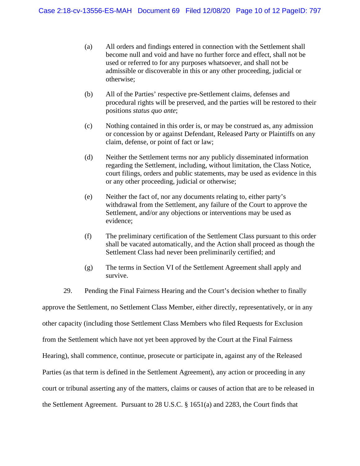- (a) All orders and findings entered in connection with the Settlement shall become null and void and have no further force and effect, shall not be used or referred to for any purposes whatsoever, and shall not be admissible or discoverable in this or any other proceeding, judicial or otherwise;
- (b) All of the Parties' respective pre-Settlement claims, defenses and procedural rights will be preserved, and the parties will be restored to their positions *status quo ante*;
- (c) Nothing contained in this order is, or may be construed as, any admission or concession by or against Defendant, Released Party or Plaintiffs on any claim, defense, or point of fact or law;
- (d) Neither the Settlement terms nor any publicly disseminated information regarding the Settlement, including, without limitation, the Class Notice, court filings, orders and public statements, may be used as evidence in this or any other proceeding, judicial or otherwise;
- (e) Neither the fact of, nor any documents relating to, either party's withdrawal from the Settlement, any failure of the Court to approve the Settlement, and/or any objections or interventions may be used as evidence;
- (f) The preliminary certification of the Settlement Class pursuant to this order shall be vacated automatically, and the Action shall proceed as though the Settlement Class had never been preliminarily certified; and
- (g) The terms in Section VI of the Settlement Agreement shall apply and survive.

29. Pending the Final Fairness Hearing and the Court's decision whether to finally approve the Settlement, no Settlement Class Member, either directly, representatively, or in any other capacity (including those Settlement Class Members who filed Requests for Exclusion from the Settlement which have not yet been approved by the Court at the Final Fairness Hearing), shall commence, continue, prosecute or participate in, against any of the Released Parties (as that term is defined in the Settlement Agreement), any action or proceeding in any court or tribunal asserting any of the matters, claims or causes of action that are to be released in the Settlement Agreement. Pursuant to 28 U.S.C. § 1651(a) and 2283, the Court finds that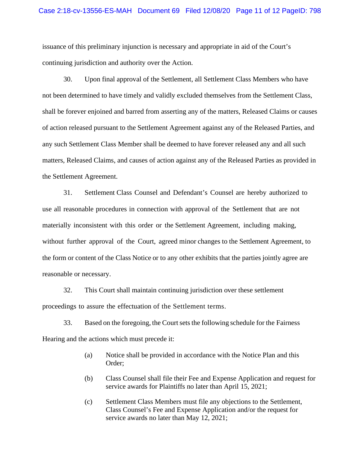issuance of this preliminary injunction is necessary and appropriate in aid of the Court's continuing jurisdiction and authority over the Action.

30. Upon final approval of the Settlement, all Settlement Class Members who have not been determined to have timely and validly excluded themselves from the Settlement Class, shall be forever enjoined and barred from asserting any of the matters, Released Claims or causes of action released pursuant to the Settlement Agreement against any of the Released Parties, and any such Settlement Class Member shall be deemed to have forever released any and all such matters, Released Claims, and causes of action against any of the Released Parties as provided in the Settlement Agreement.

31. Settlement Class Counsel and Defendant's Counsel are hereby authorized to use all reasonable procedures in connection with approval of the Settlement that are not materially inconsistent with this order or the Settlement Agreement, including making, without further approval of the Court, agreed minor changes to the Settlement Agreement, to the form or content of the Class Notice or to any other exhibits that the parties jointly agree are reasonable or necessary.

32. This Court shall maintain continuing jurisdiction over these settlement proceedings to assure the effectuation of the Settlement terms.

33. Based on the foregoing, the Court sets the following schedule for the Fairness Hearing and the actions which must precede it:

- (a) Notice shall be provided in accordance with the Notice Plan and this Order;
- (b) Class Counsel shall file their Fee and Expense Application and request for service awards for Plaintiffs no later than April 15, 2021;
- (c) Settlement Class Members must file any objections to the Settlement, Class Counsel's Fee and Expense Application and/or the request for service awards no later than May 12, 2021;